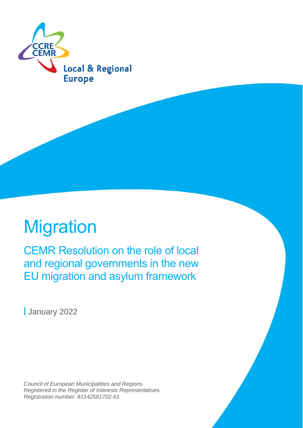

# **Migration**

CEMR Resolution on the role of local and regional governments in the new EU migration and asylum framework

**|** January 2022

*Council of European Municipalities and Regions Registered in the Register of Interests Representatives Registration number: 81142561702-61*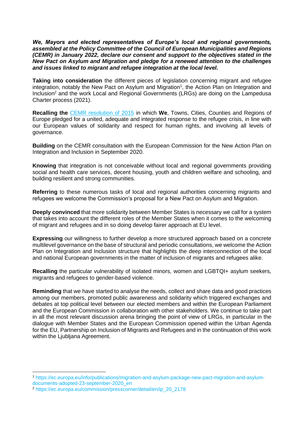*We, Mayors and elected representatives of Europe's local and regional governments, assembled at the Policy Committee of the Council of European Municipalities and Regions (CEMR) in January 2022, declare our consent and support to the objectives stated in the New Pact on Asylum and Migration and pledge for a renewed attention to the challenges and issues linked to migrant and refugee integration at the local level.* 

**Taking into consideration** the different pieces of legislation concerning migrant and refugee integration, notably the New Pact on Asylum and Migration<sup>1</sup>, the Action Plan on Integration and Inclusion<sup>2</sup> and the work Local and Regional Governments (LRGs) are doing on the Lampedusa Charter process (2021).

**Recalling the** [CEMR resolution of](https://www.ccre.org/img/uploads/piecesjointe/filename/CEMR_resolution_refugees_final_FR.pdf) 2015 in which **We**, Towns, Cities, Counties and Regions of Europe pledged for a united, adequate and integrated response to the refugee crisis, in line with our European values of solidarity and respect for human rights, and involving all levels of governance.

**Building** on the CEMR consultation with the European Commission for the New Action Plan on Integration and Inclusion in September 2020.

**Knowing** that integration is not conceivable without local and regional governments providing social and health care services, decent housing, youth and children welfare and schooling, and building resilient and strong communities.

**Referring** to these numerous tasks of local and regional authorities concerning migrants and refugees we welcome the Commission's proposal for a New Pact on Asylum and Migration.

**Deeply convinced** that more solidarity between Member States is necessary we call for a system that takes into account the different roles of the Member States when it comes to the welcoming of migrant and refugees and in so doing develop fairer approach at EU level.

**Expressing** our willingness to further develop a more structured approach based on a concrete multilevel governance on the base of structural and periodic consultations, we welcome the Action Plan on Integration and Inclusion structure that highlights the deep interconnection of the local and national European governments in the matter of inclusion of migrants and refugees alike.

**Recalling** the particular vulnerability of isolated minors, women and LGBTQI+ asylum seekers, migrants and refugees to gender-based violence.

**Reminding** that we have started to analyse the needs, collect and share data and good practices among our members, promoted public awareness and solidarity which triggered exchanges and debates at top political level between our elected members and within the European Parliament and the European Commission in collaboration with other stakeholders. We continue to take part in all the most relevant discussion arena bringing the point of view of LRGs, in particular in the dialogue with Member States and the European Commission opened within the Urban Agenda for the EU, Partnership on Inclusion of Migrants and Refugees and in the continuation of this work within the Ljubljana Agreement.

<sup>1</sup> https://ec.europa.eu/info/publications/migration-and-asylum-package-new-pact-migration-and-asylumdocuments-adopted-23-september-2020\_en

<sup>2</sup> https://ec.europa.eu/commission/presscorner/detail/en/ip\_20\_2178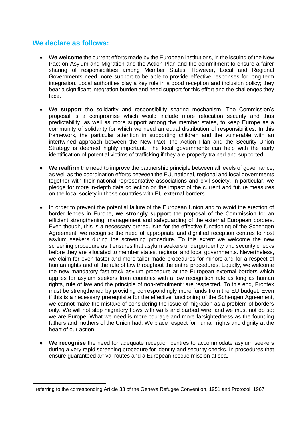## **We declare as follows:**

- **We welcome** the current efforts made by the European institutions, in the issuing of the New Pact on Asylum and Migration and the Action Plan and the commitment to ensure a fairer sharing of responsibilities among Member States. However, Local and Regional Governments need more support to be able to provide effective responses for long-term integration. Local authorities play a key role in a good reception and inclusion policy; they bear a significant integration burden and need support for this effort and the challenges they face.
- **We support** the solidarity and responsibility sharing mechanism. The Commission's proposal is a compromise which would include more relocation security and thus predictability, as well as more support among the member states, to keep Europe as a community of solidarity for which we need an equal distribution of responsibilities. In this framework, the particular attention in supporting children and the vulnerable with an intertwined approach between the New Pact, the Action Plan and the Security Union Strategy is deemed highly important. The local governments can help with the early identification of potential victims of trafficking if they are properly trained and supported.
- **We reaffirm** the need to improve the partnership principle between all levels of governance, as well as the coordination efforts between the EU, national, regional and local governments together with their national representative associations and civil society. In particular, we pledge for more in-depth data collection on the impact of the current and future measures on the local society in those countries with EU external borders.
- In order to prevent the potential failure of the European Union and to avoid the erection of border fences in Europe, **we strongly support** the proposal of the Commission for an efficient strengthening, management and safeguarding of the external European borders. Even though, this is a necessary prerequisite for the effective functioning of the Schengen Agreement, we recognise the need of appropriate and dignified reception centres to host asylum seekers during the screening procedure. To this extent we welcome the new screening procedure as it ensures that asylum seekers undergo identity and security checks before they are allocated to member states, regional and local governments. Nevertheless, we claim for even faster and more tailor-made procedures for minors and for a respect of human rights and of the rule of law throughout the entire procedures. Equally, we welcome the new mandatory fast track asylum procedure at the European external borders which applies for asylum seekers from countries with a low recognition rate as long as human rights, rule of law and the principle of non-refoulment<sup>3</sup> are respected. To this end, Frontex must be strengthened by providing correspondingly more funds from the EU budget. Even if this is a necessary prerequisite for the effective functioning of the Schengen Agreement, we cannot make the mistake of considering the issue of migration as a problem of borders only. We will not stop migratory flows with walls and barbed wire, and we must not do so; we are Europe. What we need is more courage and more farsightedness as the founding fathers and mothers of the Union had. We place respect for human rights and dignity at the heart of our action.
- **We recognise** the need for adequate reception centres to accommodate asylum seekers during a very rapid screening procedure for identity and security checks. In procedures that ensure guaranteed arrival routes and a European rescue mission at sea.

<sup>&</sup>lt;sup>3</sup> referring to the corresponding Article 33 of the Geneva Refugee Convention, 1951 and Protocol, 1967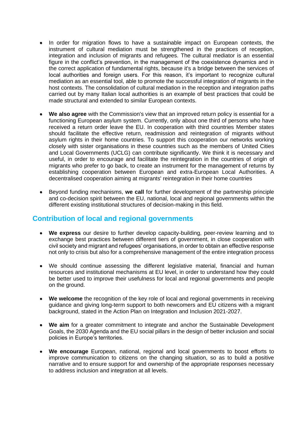- In order for migration flows to have a sustainable impact on European contexts, the instrument of cultural mediation must be strengthened in the practices of reception, integration and inclusion of migrants and refugees. The cultural mediator is an essential figure in the conflict's prevention, in the management of the coexistence dynamics and in the correct application of fundamental rights, because it's a bridge between the services of local authorities and foreign users. For this reason, it's important to recognize cultural mediation as an essential tool, able to promote the successful integration of migrants in the host contexts. The consolidation of cultural mediation in the reception and integration paths carried out by many Italian local authorities is an example of best practices that could be made structural and extended to similar European contexts.
- **We also agree** with the Commission's view that an improved return policy is essential for a functioning European asylum system. Currently, only about one third of persons who have received a return order leave the EU. In cooperation with third countries Member states should facilitate the effective return, readmission and reintegration of migrants without asylum rights in their home countries. To support this cooperation our networks working closely with sister organisations in these countries such as the members of United Cities and Local Governments (UCLG) can contribute significantly. We think it is necessary and useful, in order to encourage and facilitate the reintegration in the countries of origin of migrants who prefer to go back, to create an instrument for the management of returns by establishing cooperation between European and extra-European Local Authorities. A decentralised cooperation aiming at migrants' reintegration in their home countries
- Beyond funding mechanisms, **we call** for further development of the partnership principle and co-decision spirit between the EU, national, local and regional governments within the different existing institutional structures of decision-making in this field.

### **Contribution of local and regional governments**

- **We express** our desire to further develop capacity-building, peer-review learning and to exchange best practices between different tiers of government, in close cooperation with civil society and migrant and refugees' organisations, in order to obtain an effective response not only to crisis but also for a comprehensive management of the entire integration process
- We should continue assessing the different legislative material, financial and human resources and institutional mechanisms at EU level, in order to understand how they could be better used to improve their usefulness for local and regional governments and people on the ground.
- **We welcome** the recognition of the key role of local and regional governments in receiving guidance and giving long-term support to both newcomers and EU citizens with a migrant background, stated in the Action Plan on Integration and Inclusion 2021-2027.
- **We aim** for a greater commitment to integrate and anchor the Sustainable Development Goals, the 2030 Agenda and the EU social pillars in the design of better inclusion and social policies in Europe's territories.
- **We encourage** European, national, regional and local governments to boost efforts to improve communication to citizens on the changing situation, so as to build a positive narrative and to ensure support for and ownership of the appropriate responses necessary to address inclusion and integration at all levels.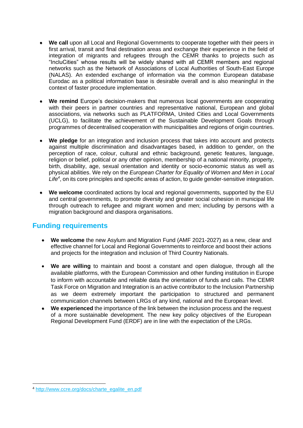- We call upon all Local and Regional Governments to cooperate together with their peers in first arrival, transit and final destination areas and exchange their experience in the field of integration of migrants and refugees through the CEMR thanks to projects such as "IncluCities" whose results will be widely shared with all CEMR members and regional networks such as the Network of Associations of Local Authorities of South-East Europe (NALAS). An extended exchange of information via the common European database Eurodac as a political information base is desirable overall and is also meaningful in the context of faster procedure implementation.
- **We remind** Europe's decision-makers that numerous local governments are cooperating with their peers in partner countries and representative national, European and global associations, via networks such as PLATFORMA, United Cities and Local Governments (UCLG), to facilitate the achievement of the Sustainable Development Goals through programmes of decentralised cooperation with municipalities and regions of origin countries.
- **We pledge** for an integration and inclusion process that takes into account and protects against multiple discrimination and disadvantages based, in addition to gender, on the perception of race, colour, cultural and ethnic background, genetic features, language, religion or belief, political or any other opinion, membership of a national minority, property, birth, disability, age, sexual orientation and identity or socio-economic status as well as physical abilities. We rely on the *European Charter for Equality of Women and Men in Local Life<sup>4</sup>* , on its core principles and specific areas of action, to guide gender-sensitive integration.
- **We welcome** coordinated actions by local and regional governments, supported by the EU and central governments, to promote diversity and greater social cohesion in municipal life through outreach to refugee and migrant women and men; including by persons with a migration background and diaspora organisations.

### **Funding requirements**

- **We welcome** the new Asylum and Migration Fund (AMF 2021-2027) as a new, clear and effective channel for Local and Regional Governments to reinforce and boost their actions and projects for the integration and inclusion of Third Country Nationals.
- **We are willing** to maintain and boost a constant and open dialogue, through all the available platforms, with the European Commission and other funding institution in Europe to inform with accountable and reliable data the orientation of funds and calls. The CEMR Task Force on Migration and Integration is an active contributor to the Inclusion Partnership as we deem extremely important the participation to structured and permanent communication channels between LRGs of any kind, national and the European level.
- **We experienced** the importance of the link between the inclusion process and the request of a more sustainable development. The new key policy objectives of the European Regional Development Fund (ERDF) are in line with the expectation of the LRGs.

<sup>4</sup> [http://www.ccre.org/docs/charte\\_egalite\\_en.pdf](http://www.ccre.org/docs/charte_egalite_en.pdf)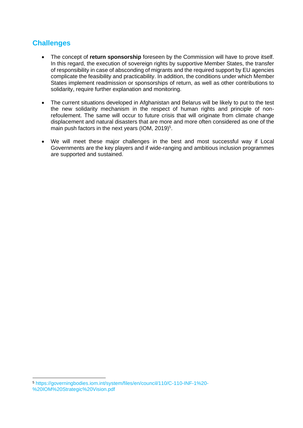## **Challenges**

- The concept of **return sponsorship** foreseen by the Commission will have to prove itself. In this regard, the execution of sovereign rights by supportive Member States, the transfer of responsibility in case of absconding of migrants and the required support by EU agencies complicate the feasibility and practicability. In addition, the conditions under which Member States implement readmission or sponsorships of return, as well as other contributions to solidarity, require further explanation and monitoring.
- The current situations developed in Afghanistan and Belarus will be likely to put to the test the new solidarity mechanism in the respect of human rights and principle of nonrefoulement. The same will occur to future crisis that will originate from climate change displacement and natural disasters that are more and more often considered as one of the main push factors in the next years (IOM, 2019)<sup>5</sup>.
- We will meet these major challenges in the best and most successful way if Local Governments are the key players and if wide-ranging and ambitious inclusion programmes are supported and sustained.

<sup>5</sup> https://governingbodies.iom.int/system/files/en/council/110/C-110-INF-1%20- %20IOM%20Strategic%20Vision.pdf